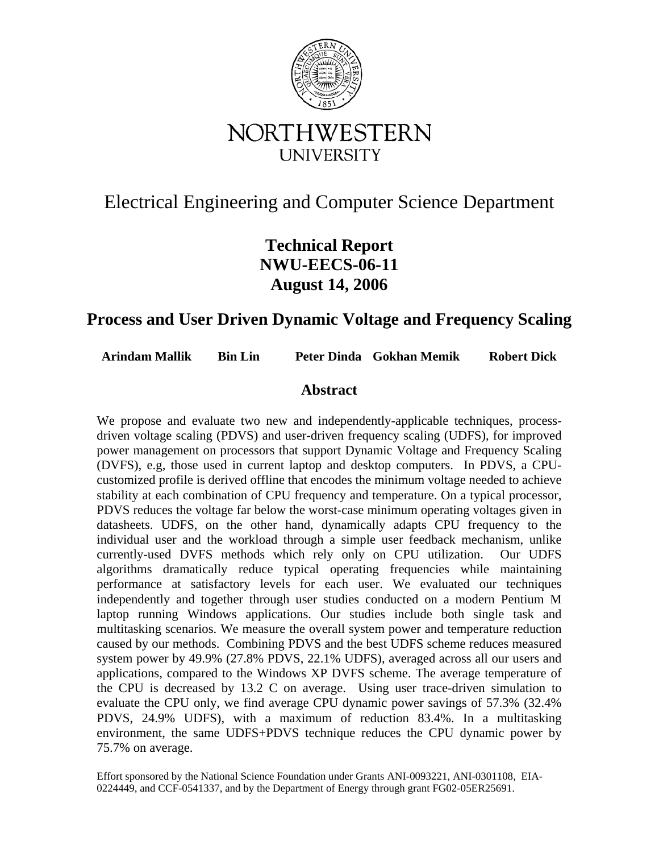

# Electrical Engineering and Computer Science Department

# **Technical Report NWU-EECS-06-11 August 14, 2006**

## **Process and User Driven Dynamic Voltage and Frequency Scaling**

**Arindam Mallik Bin Lin Peter Dinda Gokhan Memik Robert Dick** 

## **Abstract**

We propose and evaluate two new and independently-applicable techniques, processdriven voltage scaling (PDVS) and user-driven frequency scaling (UDFS), for improved power management on processors that support Dynamic Voltage and Frequency Scaling (DVFS), e.g, those used in current laptop and desktop computers. In PDVS, a CPUcustomized profile is derived offline that encodes the minimum voltage needed to achieve stability at each combination of CPU frequency and temperature. On a typical processor, PDVS reduces the voltage far below the worst-case minimum operating voltages given in datasheets. UDFS, on the other hand, dynamically adapts CPU frequency to the individual user and the workload through a simple user feedback mechanism, unlike currently-used DVFS methods which rely only on CPU utilization. Our UDFS algorithms dramatically reduce typical operating frequencies while maintaining performance at satisfactory levels for each user. We evaluated our techniques independently and together through user studies conducted on a modern Pentium M laptop running Windows applications. Our studies include both single task and multitasking scenarios. We measure the overall system power and temperature reduction caused by our methods. Combining PDVS and the best UDFS scheme reduces measured system power by 49.9% (27.8% PDVS, 22.1% UDFS), averaged across all our users and applications, compared to the Windows XP DVFS scheme. The average temperature of the CPU is decreased by 13.2 C on average. Using user trace-driven simulation to evaluate the CPU only, we find average CPU dynamic power savings of 57.3% (32.4% PDVS, 24.9% UDFS), with a maximum of reduction 83.4%. In a multitasking environment, the same UDFS+PDVS technique reduces the CPU dynamic power by 75.7% on average.

Effort sponsored by the National Science Foundation under Grants ANI-0093221, ANI-0301108, EIA-0224449, and CCF-0541337, and by the Department of Energy through grant FG02-05ER25691.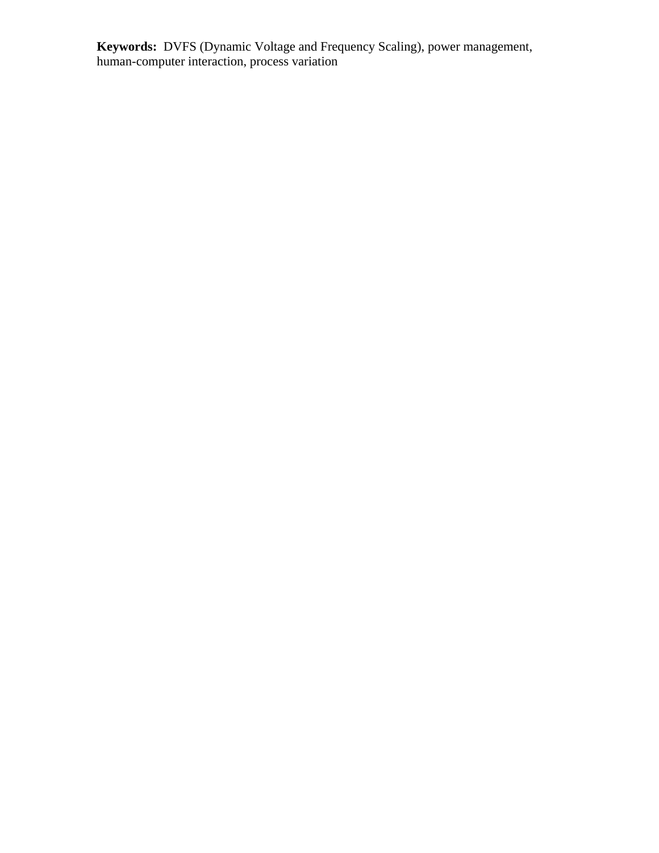**Keywords:** DVFS (Dynamic Voltage and Frequency Scaling), power management, human-computer interaction, process variation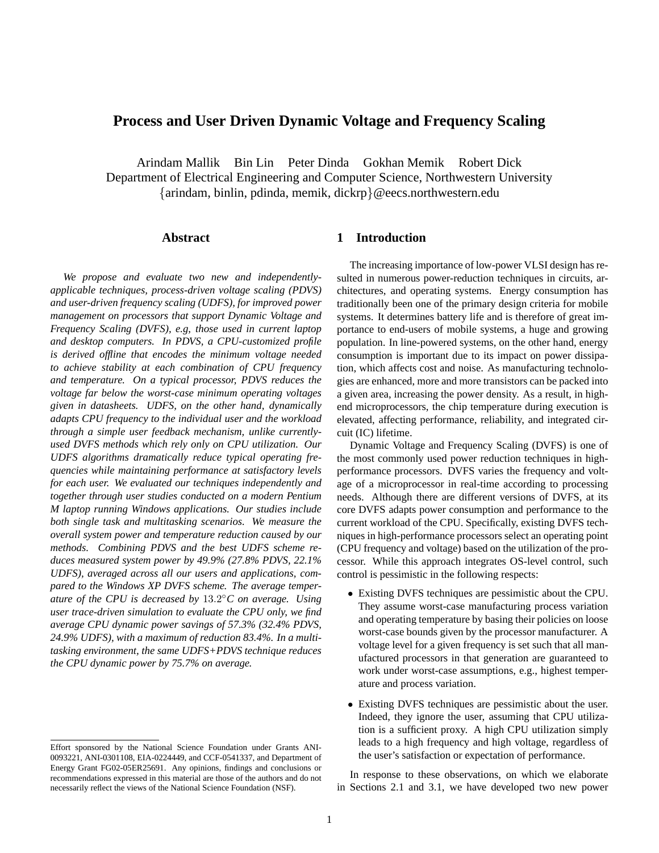## **Process and User Driven Dynamic Voltage and Frequency Scaling**

Arindam Mallik Bin Lin Peter Dinda Gokhan Memik Robert Dick Department of Electrical Engineering and Computer Science, Northwestern University {arindam, binlin, pdinda, memik, dickrp}@eecs.northwestern.edu

## **Abstract**

*We propose and evaluate two new and independentlyapplicable techniques, process-driven voltage scaling (PDVS) and user-driven frequency scaling (UDFS), for improved power management on processors that support Dynamic Voltage and Frequency Scaling (DVFS), e.g, those used in current laptop and desktop computers. In PDVS, a CPU-customized profile is derived offline that encodes the minimum voltage needed to achieve stability at each combination of CPU frequency and temperature. On a typical processor, PDVS reduces the voltage far below the worst-case minimum operating voltages given in datasheets. UDFS, on the other hand, dynamically adapts CPU frequency to the individual user and the workload through a simple user feedback mechanism, unlike currentlyused DVFS methods which rely only on CPU utilization. Our UDFS algorithms dramatically reduce typical operating frequencies while maintaining performance at satisfactory levels for each user. We evaluated our techniques independently and together through user studies conducted on a modern Pentium M laptop running Windows applications. Our studies include both single task and multitasking scenarios. We measure the overall system power and temperature reduction caused by our methods. Combining PDVS and the best UDFS scheme reduces measured system power by 49.9% (27.8% PDVS, 22.1% UDFS), averaged across all our users and applications, compared to the Windows XP DVFS scheme. The average temperature of the CPU is decreased by* 13.2 ◦*C on average. Using user trace-driven simulation to evaluate the CPU only, we find average CPU dynamic power savings of 57.3% (32.4% PDVS, 24.9% UDFS), with a maximum of reduction 83.4%. In a multitasking environment, the same UDFS+PDVS technique reduces the CPU dynamic power by 75.7% on average.*

## **1 Introduction**

The increasing importance of low-power VLSI design has resulted in numerous power-reduction techniques in circuits, architectures, and operating systems. Energy consumption has traditionally been one of the primary design criteria for mobile systems. It determines battery life and is therefore of great importance to end-users of mobile systems, a huge and growing population. In line-powered systems, on the other hand, energy consumption is important due to its impact on power dissipation, which affects cost and noise. As manufacturing technologies are enhanced, more and more transistors can be packed into a given area, increasing the power density. As a result, in highend microprocessors, the chip temperature during execution is elevated, affecting performance, reliability, and integrated circuit (IC) lifetime.

Dynamic Voltage and Frequency Scaling (DVFS) is one of the most commonly used power reduction techniques in highperformance processors. DVFS varies the frequency and voltage of a microprocessor in real-time according to processing needs. Although there are different versions of DVFS, at its core DVFS adapts power consumption and performance to the current workload of the CPU. Specifically, existing DVFS techniques in high-performance processors select an operating point (CPU frequency and voltage) based on the utilization of the processor. While this approach integrates OS-level control, such control is pessimistic in the following respects:

- Existing DVFS techniques are pessimistic about the CPU. They assume worst-case manufacturing process variation and operating temperature by basing their policies on loose worst-case bounds given by the processor manufacturer. A voltage level for a given frequency is set such that all manufactured processors in that generation are guaranteed to work under worst-case assumptions, e.g., highest temperature and process variation.
- Existing DVFS techniques are pessimistic about the user. Indeed, they ignore the user, assuming that CPU utilization is a sufficient proxy. A high CPU utilization simply leads to a high frequency and high voltage, regardless of the user's satisfaction or expectation of performance.

In response to these observations, on which we elaborate in Sections 2.1 and 3.1, we have developed two new power

Effort sponsored by the National Science Foundation under Grants ANI-0093221, ANI-0301108, EIA-0224449, and CCF-0541337, and Department of Energy Grant FG02-05ER25691. Any opinions, findings and conclusions or recommendations expressed in this material are those of the authors and do not necessarily reflect the views of the National Science Foundation (NSF).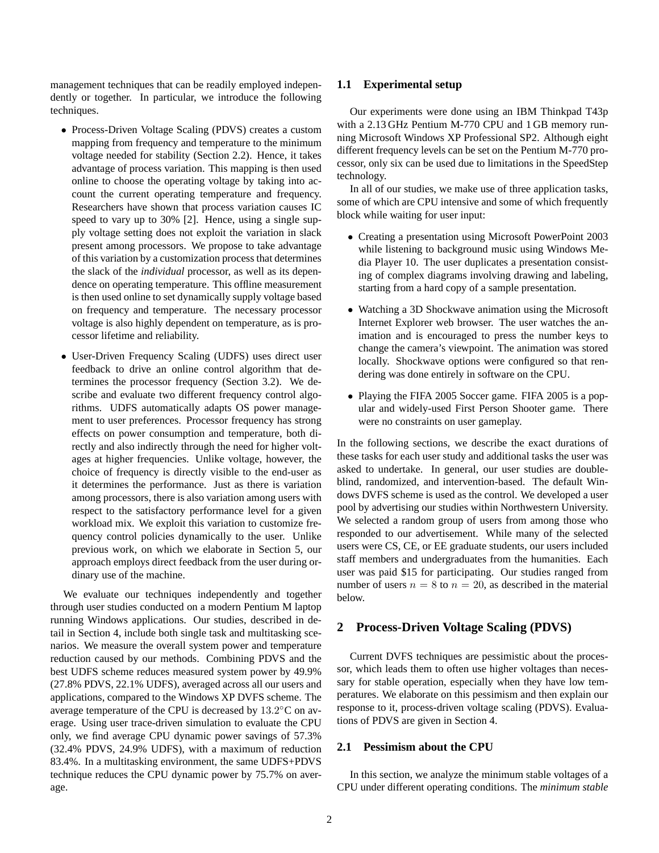management techniques that can be readily employed independently or together. In particular, we introduce the following techniques.

- Process-Driven Voltage Scaling (PDVS) creates a custom mapping from frequency and temperature to the minimum voltage needed for stability (Section 2.2). Hence, it takes advantage of process variation. This mapping is then used online to choose the operating voltage by taking into account the current operating temperature and frequency. Researchers have shown that process variation causes IC speed to vary up to 30% [2]. Hence, using a single supply voltage setting does not exploit the variation in slack present among processors. We propose to take advantage of this variation by a customization process that determines the slack of the *individual* processor, as well as its dependence on operating temperature. This offline measurement is then used online to set dynamically supply voltage based on frequency and temperature. The necessary processor voltage is also highly dependent on temperature, as is processor lifetime and reliability.
- User-Driven Frequency Scaling (UDFS) uses direct user feedback to drive an online control algorithm that determines the processor frequency (Section 3.2). We describe and evaluate two different frequency control algorithms. UDFS automatically adapts OS power management to user preferences. Processor frequency has strong effects on power consumption and temperature, both directly and also indirectly through the need for higher voltages at higher frequencies. Unlike voltage, however, the choice of frequency is directly visible to the end-user as it determines the performance. Just as there is variation among processors, there is also variation among users with respect to the satisfactory performance level for a given workload mix. We exploit this variation to customize frequency control policies dynamically to the user. Unlike previous work, on which we elaborate in Section 5, our approach employs direct feedback from the user during ordinary use of the machine.

We evaluate our techniques independently and together through user studies conducted on a modern Pentium M laptop running Windows applications. Our studies, described in detail in Section 4, include both single task and multitasking scenarios. We measure the overall system power and temperature reduction caused by our methods. Combining PDVS and the best UDFS scheme reduces measured system power by 49.9% (27.8% PDVS, 22.1% UDFS), averaged across all our users and applications, compared to the Windows XP DVFS scheme. The average temperature of the CPU is decreased by 13.2°C on average. Using user trace-driven simulation to evaluate the CPU only, we find average CPU dynamic power savings of 57.3% (32.4% PDVS, 24.9% UDFS), with a maximum of reduction 83.4%. In a multitasking environment, the same UDFS+PDVS technique reduces the CPU dynamic power by 75.7% on average.

## **1.1 Experimental setup**

Our experiments were done using an IBM Thinkpad T43p with a 2.13 GHz Pentium M-770 CPU and 1 GB memory running Microsoft Windows XP Professional SP2. Although eight different frequency levels can be set on the Pentium M-770 processor, only six can be used due to limitations in the SpeedStep technology.

In all of our studies, we make use of three application tasks, some of which are CPU intensive and some of which frequently block while waiting for user input:

- Creating a presentation using Microsoft PowerPoint 2003 while listening to background music using Windows Media Player 10. The user duplicates a presentation consisting of complex diagrams involving drawing and labeling, starting from a hard copy of a sample presentation.
- Watching a 3D Shockwave animation using the Microsoft Internet Explorer web browser. The user watches the animation and is encouraged to press the number keys to change the camera's viewpoint. The animation was stored locally. Shockwave options were configured so that rendering was done entirely in software on the CPU.
- Playing the FIFA 2005 Soccer game. FIFA 2005 is a popular and widely-used First Person Shooter game. There were no constraints on user gameplay.

In the following sections, we describe the exact durations of these tasks for each user study and additional tasks the user was asked to undertake. In general, our user studies are doubleblind, randomized, and intervention-based. The default Windows DVFS scheme is used as the control. We developed a user pool by advertising our studies within Northwestern University. We selected a random group of users from among those who responded to our advertisement. While many of the selected users were CS, CE, or EE graduate students, our users included staff members and undergraduates from the humanities. Each user was paid \$15 for participating. Our studies ranged from number of users  $n = 8$  to  $n = 20$ , as described in the material below.

## **2 Process-Driven Voltage Scaling (PDVS)**

Current DVFS techniques are pessimistic about the processor, which leads them to often use higher voltages than necessary for stable operation, especially when they have low temperatures. We elaborate on this pessimism and then explain our response to it, process-driven voltage scaling (PDVS). Evaluations of PDVS are given in Section 4.

## **2.1 Pessimism about the CPU**

In this section, we analyze the minimum stable voltages of a CPU under different operating conditions. The *minimum stable*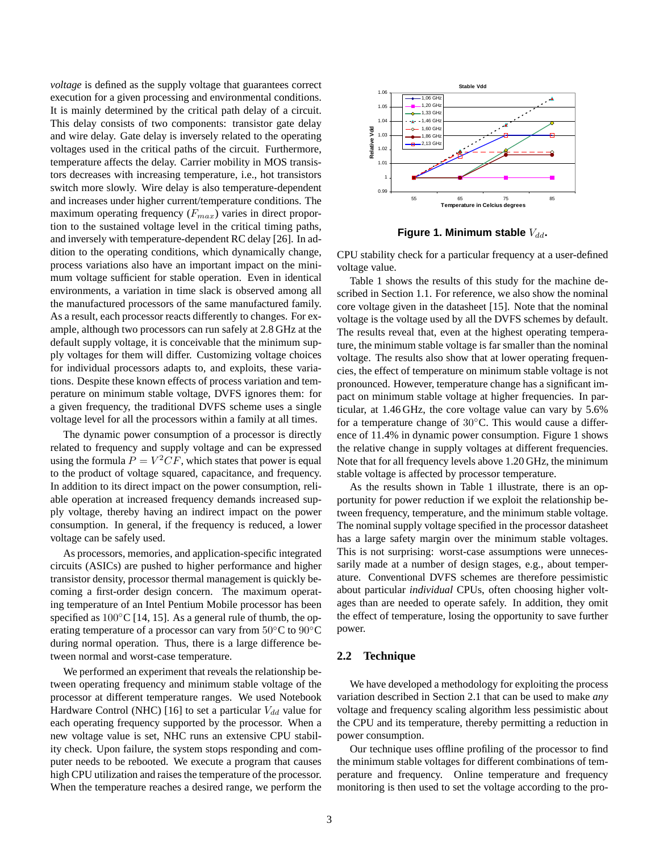*voltage* is defined as the supply voltage that guarantees correct execution for a given processing and environmental conditions. It is mainly determined by the critical path delay of a circuit. This delay consists of two components: transistor gate delay and wire delay. Gate delay is inversely related to the operating voltages used in the critical paths of the circuit. Furthermore, temperature affects the delay. Carrier mobility in MOS transistors decreases with increasing temperature, i.e., hot transistors switch more slowly. Wire delay is also temperature-dependent and increases under higher current/temperature conditions. The maximum operating frequency  $(F_{max})$  varies in direct proportion to the sustained voltage level in the critical timing paths, and inversely with temperature-dependent RC delay [26]. In addition to the operating conditions, which dynamically change, process variations also have an important impact on the minimum voltage sufficient for stable operation. Even in identical environments, a variation in time slack is observed among all the manufactured processors of the same manufactured family. As a result, each processor reacts differently to changes. For example, although two processors can run safely at 2.8 GHz at the default supply voltage, it is conceivable that the minimum supply voltages for them will differ. Customizing voltage choices for individual processors adapts to, and exploits, these variations. Despite these known effects of process variation and temperature on minimum stable voltage, DVFS ignores them: for a given frequency, the traditional DVFS scheme uses a single voltage level for all the processors within a family at all times.

The dynamic power consumption of a processor is directly related to frequency and supply voltage and can be expressed using the formula  $P = V^2CF$ , which states that power is equal to the product of voltage squared, capacitance, and frequency. In addition to its direct impact on the power consumption, reliable operation at increased frequency demands increased supply voltage, thereby having an indirect impact on the power consumption. In general, if the frequency is reduced, a lower voltage can be safely used.

As processors, memories, and application-specific integrated circuits (ASICs) are pushed to higher performance and higher transistor density, processor thermal management is quickly becoming a first-order design concern. The maximum operating temperature of an Intel Pentium Mobile processor has been specified as  $100\degree$ C [14, 15]. As a general rule of thumb, the operating temperature of a processor can vary from  $50^{\circ}$ C to  $90^{\circ}$ C during normal operation. Thus, there is a large difference between normal and worst-case temperature.

We performed an experiment that reveals the relationship between operating frequency and minimum stable voltage of the processor at different temperature ranges. We used Notebook Hardware Control (NHC) [16] to set a particular  $V_{dd}$  value for each operating frequency supported by the processor. When a new voltage value is set, NHC runs an extensive CPU stability check. Upon failure, the system stops responding and computer needs to be rebooted. We execute a program that causes high CPU utilization and raises the temperature of the processor. When the temperature reaches a desired range, we perform the



**Figure 1. Minimum stable**  $V_{dd}$ .

CPU stability check for a particular frequency at a user-defined voltage value.

Table 1 shows the results of this study for the machine described in Section 1.1. For reference, we also show the nominal core voltage given in the datasheet [15]. Note that the nominal voltage is the voltage used by all the DVFS schemes by default. The results reveal that, even at the highest operating temperature, the minimum stable voltage is far smaller than the nominal voltage. The results also show that at lower operating frequencies, the effect of temperature on minimum stable voltage is not pronounced. However, temperature change has a significant impact on minimum stable voltage at higher frequencies. In particular, at 1.46 GHz, the core voltage value can vary by 5.6% for a temperature change of 30<sup>°</sup>C. This would cause a difference of 11.4% in dynamic power consumption. Figure 1 shows the relative change in supply voltages at different frequencies. Note that for all frequency levels above 1.20 GHz, the minimum stable voltage is affected by processor temperature.

As the results shown in Table 1 illustrate, there is an opportunity for power reduction if we exploit the relationship between frequency, temperature, and the minimum stable voltage. The nominal supply voltage specified in the processor datasheet has a large safety margin over the minimum stable voltages. This is not surprising: worst-case assumptions were unnecessarily made at a number of design stages, e.g., about temperature. Conventional DVFS schemes are therefore pessimistic about particular *individual* CPUs, often choosing higher voltages than are needed to operate safely. In addition, they omit the effect of temperature, losing the opportunity to save further power.

## **2.2 Technique**

We have developed a methodology for exploiting the process variation described in Section 2.1 that can be used to make *any* voltage and frequency scaling algorithm less pessimistic about the CPU and its temperature, thereby permitting a reduction in power consumption.

Our technique uses offline profiling of the processor to find the minimum stable voltages for different combinations of temperature and frequency. Online temperature and frequency monitoring is then used to set the voltage according to the pro-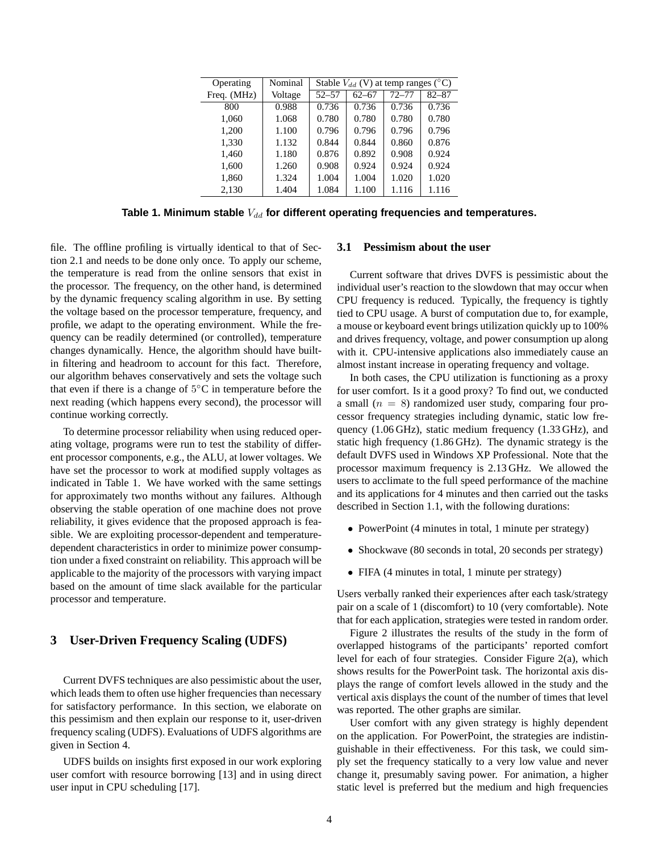| Operating   | Nominal | Stable $V_{dd}$ (V) at temp ranges ( $^{\circ}$ C) |           |           |           |  |
|-------------|---------|----------------------------------------------------|-----------|-----------|-----------|--|
| Freq. (MHz) | Voltage | $52 - 57$                                          | $62 - 67$ | $72 - 77$ | $82 - 87$ |  |
| 800         | 0.988   | 0.736                                              | 0.736     | 0.736     | 0.736     |  |
| 1,060       | 1.068   | 0.780                                              | 0.780     | 0.780     | 0.780     |  |
| 1,200       | 1.100   | 0.796                                              | 0.796     | 0.796     | 0.796     |  |
| 1,330       | 1.132   | 0.844                                              | 0.844     | 0.860     | 0.876     |  |
| 1,460       | 1.180   | 0.876                                              | 0.892     | 0.908     | 0.924     |  |
| 1,600       | 1.260   | 0.908                                              | 0.924     | 0.924     | 0.924     |  |
| 1,860       | 1.324   | 1.004                                              | 1.004     | 1.020     | 1.020     |  |
| 2,130       | 1.404   | 1.084                                              | 1.100     | 1.116     | 1.116     |  |

Table 1. Minimum stable  $V_{dd}$  for different operating frequencies and temperatures.

file. The offline profiling is virtually identical to that of Section 2.1 and needs to be done only once. To apply our scheme, the temperature is read from the online sensors that exist in the processor. The frequency, on the other hand, is determined by the dynamic frequency scaling algorithm in use. By setting the voltage based on the processor temperature, frequency, and profile, we adapt to the operating environment. While the frequency can be readily determined (or controlled), temperature changes dynamically. Hence, the algorithm should have builtin filtering and headroom to account for this fact. Therefore, our algorithm behaves conservatively and sets the voltage such that even if there is a change of  $5^{\circ}$ C in temperature before the next reading (which happens every second), the processor will continue working correctly.

To determine processor reliability when using reduced operating voltage, programs were run to test the stability of different processor components, e.g., the ALU, at lower voltages. We have set the processor to work at modified supply voltages as indicated in Table 1. We have worked with the same settings for approximately two months without any failures. Although observing the stable operation of one machine does not prove reliability, it gives evidence that the proposed approach is feasible. We are exploiting processor-dependent and temperaturedependent characteristics in order to minimize power consumption under a fixed constraint on reliability. This approach will be applicable to the majority of the processors with varying impact based on the amount of time slack available for the particular processor and temperature.

## **3 User-Driven Frequency Scaling (UDFS)**

Current DVFS techniques are also pessimistic about the user, which leads them to often use higher frequencies than necessary for satisfactory performance. In this section, we elaborate on this pessimism and then explain our response to it, user-driven frequency scaling (UDFS). Evaluations of UDFS algorithms are given in Section 4.

UDFS builds on insights first exposed in our work exploring user comfort with resource borrowing [13] and in using direct user input in CPU scheduling [17].

## **3.1 Pessimism about the user**

Current software that drives DVFS is pessimistic about the individual user's reaction to the slowdown that may occur when CPU frequency is reduced. Typically, the frequency is tightly tied to CPU usage. A burst of computation due to, for example, a mouse or keyboard event brings utilization quickly up to 100% and drives frequency, voltage, and power consumption up along with it. CPU-intensive applications also immediately cause an almost instant increase in operating frequency and voltage.

In both cases, the CPU utilization is functioning as a proxy for user comfort. Is it a good proxy? To find out, we conducted a small  $(n = 8)$  randomized user study, comparing four processor frequency strategies including dynamic, static low frequency (1.06 GHz), static medium frequency (1.33 GHz), and static high frequency (1.86 GHz). The dynamic strategy is the default DVFS used in Windows XP Professional. Note that the processor maximum frequency is 2.13 GHz. We allowed the users to acclimate to the full speed performance of the machine and its applications for 4 minutes and then carried out the tasks described in Section 1.1, with the following durations:

- PowerPoint (4 minutes in total, 1 minute per strategy)
- Shockwave (80 seconds in total, 20 seconds per strategy)
- FIFA (4 minutes in total, 1 minute per strategy)

Users verbally ranked their experiences after each task/strategy pair on a scale of 1 (discomfort) to 10 (very comfortable). Note that for each application, strategies were tested in random order.

Figure 2 illustrates the results of the study in the form of overlapped histograms of the participants' reported comfort level for each of four strategies. Consider Figure 2(a), which shows results for the PowerPoint task. The horizontal axis displays the range of comfort levels allowed in the study and the vertical axis displays the count of the number of times that level was reported. The other graphs are similar.

User comfort with any given strategy is highly dependent on the application. For PowerPoint, the strategies are indistinguishable in their effectiveness. For this task, we could simply set the frequency statically to a very low value and never change it, presumably saving power. For animation, a higher static level is preferred but the medium and high frequencies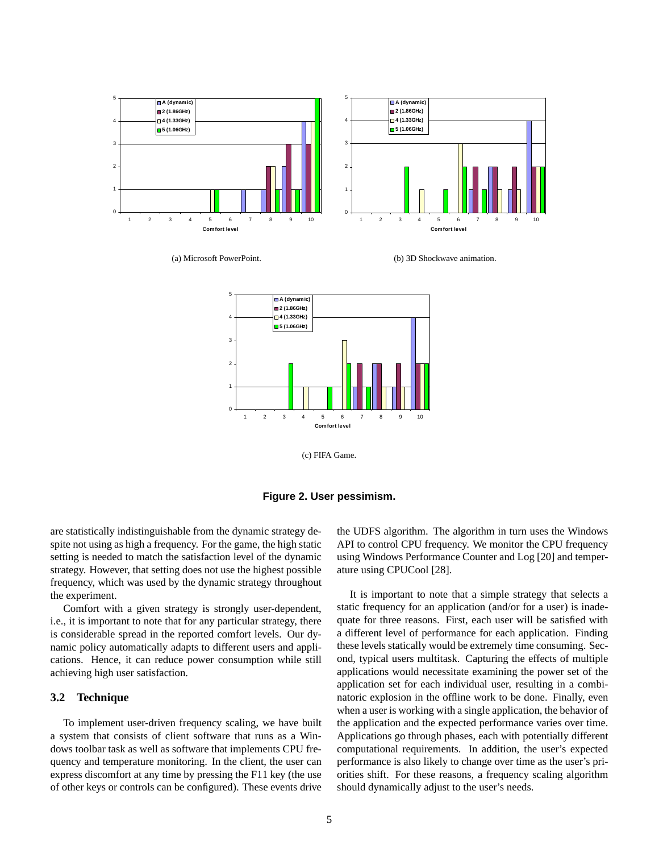

(a) Microsoft PowerPoint.

(b) 3D Shockwave animation.



(c) FIFA Game.



are statistically indistinguishable from the dynamic strategy despite not using as high a frequency. For the game, the high static setting is needed to match the satisfaction level of the dynamic strategy. However, that setting does not use the highest possible frequency, which was used by the dynamic strategy throughout the experiment.

Comfort with a given strategy is strongly user-dependent, i.e., it is important to note that for any particular strategy, there is considerable spread in the reported comfort levels. Our dynamic policy automatically adapts to different users and applications. Hence, it can reduce power consumption while still achieving high user satisfaction.

## **3.2 Technique**

To implement user-driven frequency scaling, we have built a system that consists of client software that runs as a Windows toolbar task as well as software that implements CPU frequency and temperature monitoring. In the client, the user can express discomfort at any time by pressing the F11 key (the use of other keys or controls can be configured). These events drive

the UDFS algorithm. The algorithm in turn uses the Windows API to control CPU frequency. We monitor the CPU frequency using Windows Performance Counter and Log [20] and temperature using CPUCool [28].

It is important to note that a simple strategy that selects a static frequency for an application (and/or for a user) is inadequate for three reasons. First, each user will be satisfied with a different level of performance for each application. Finding these levels statically would be extremely time consuming. Second, typical users multitask. Capturing the effects of multiple applications would necessitate examining the power set of the application set for each individual user, resulting in a combinatoric explosion in the offline work to be done. Finally, even when a user is working with a single application, the behavior of the application and the expected performance varies over time. Applications go through phases, each with potentially different computational requirements. In addition, the user's expected performance is also likely to change over time as the user's priorities shift. For these reasons, a frequency scaling algorithm should dynamically adjust to the user's needs.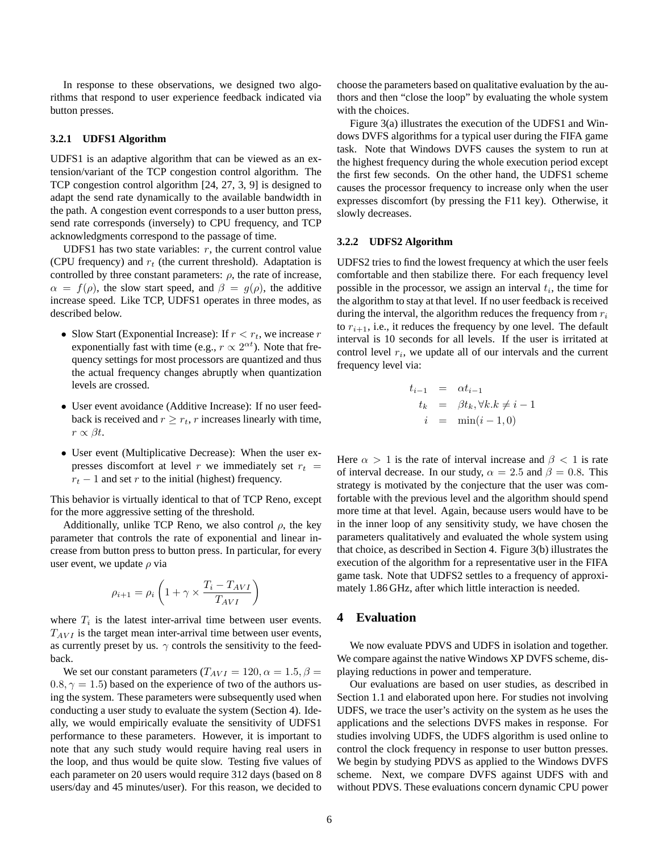In response to these observations, we designed two algorithms that respond to user experience feedback indicated via button presses.

#### **3.2.1 UDFS1 Algorithm**

UDFS1 is an adaptive algorithm that can be viewed as an extension/variant of the TCP congestion control algorithm. The TCP congestion control algorithm [24, 27, 3, 9] is designed to adapt the send rate dynamically to the available bandwidth in the path. A congestion event corresponds to a user button press, send rate corresponds (inversely) to CPU frequency, and TCP acknowledgments correspond to the passage of time.

UDFS1 has two state variables:  $r$ , the current control value (CPU frequency) and  $r_t$  (the current threshold). Adaptation is controlled by three constant parameters:  $\rho$ , the rate of increase,  $\alpha = f(\rho)$ , the slow start speed, and  $\beta = g(\rho)$ , the additive increase speed. Like TCP, UDFS1 operates in three modes, as described below.

- Slow Start (Exponential Increase): If  $r < r_t$ , we increase r exponentially fast with time (e.g.,  $r \propto 2^{\alpha t}$ ). Note that frequency settings for most processors are quantized and thus the actual frequency changes abruptly when quantization levels are crossed.
- User event avoidance (Additive Increase): If no user feedback is received and  $r \geq r_t$ , r increases linearly with time,  $r \propto \beta t$ .
- User event (Multiplicative Decrease): When the user expresses discomfort at level r we immediately set  $r_t$  =  $r_t - 1$  and set r to the initial (highest) frequency.

This behavior is virtually identical to that of TCP Reno, except for the more aggressive setting of the threshold.

Additionally, unlike TCP Reno, we also control  $\rho$ , the key parameter that controls the rate of exponential and linear increase from button press to button press. In particular, for every user event, we update  $\rho$  via

$$
\rho_{i+1} = \rho_i \left( 1 + \gamma \times \frac{T_i - T_{AVI}}{T_{AVI}} \right)
$$

where  $T_i$  is the latest inter-arrival time between user events.  $T_{AVI}$  is the target mean inter-arrival time between user events, as currently preset by us.  $\gamma$  controls the sensitivity to the feedback.

We set our constant parameters ( $T_{AVI} = 120, \alpha = 1.5, \beta =$  $0.8, \gamma = 1.5$ ) based on the experience of two of the authors using the system. These parameters were subsequently used when conducting a user study to evaluate the system (Section 4). Ideally, we would empirically evaluate the sensitivity of UDFS1 performance to these parameters. However, it is important to note that any such study would require having real users in the loop, and thus would be quite slow. Testing five values of each parameter on 20 users would require 312 days (based on 8 users/day and 45 minutes/user). For this reason, we decided to

choose the parameters based on qualitative evaluation by the authors and then "close the loop" by evaluating the whole system with the choices.

Figure 3(a) illustrates the execution of the UDFS1 and Windows DVFS algorithms for a typical user during the FIFA game task. Note that Windows DVFS causes the system to run at the highest frequency during the whole execution period except the first few seconds. On the other hand, the UDFS1 scheme causes the processor frequency to increase only when the user expresses discomfort (by pressing the F11 key). Otherwise, it slowly decreases.

#### **3.2.2 UDFS2 Algorithm**

UDFS2 tries to find the lowest frequency at which the user feels comfortable and then stabilize there. For each frequency level possible in the processor, we assign an interval  $t_i$ , the time for the algorithm to stay at that level. If no user feedback is received during the interval, the algorithm reduces the frequency from  $r_i$ to  $r_{i+1}$ , i.e., it reduces the frequency by one level. The default interval is 10 seconds for all levels. If the user is irritated at control level  $r_i$ , we update all of our intervals and the current frequency level via:

$$
t_{i-1} = \alpha t_{i-1}
$$
  
\n
$$
t_k = \beta t_k, \forall k. k \neq i-1
$$
  
\n
$$
i = \min(i-1, 0)
$$

Here  $\alpha > 1$  is the rate of interval increase and  $\beta < 1$  is rate of interval decrease. In our study,  $\alpha = 2.5$  and  $\beta = 0.8$ . This strategy is motivated by the conjecture that the user was comfortable with the previous level and the algorithm should spend more time at that level. Again, because users would have to be in the inner loop of any sensitivity study, we have chosen the parameters qualitatively and evaluated the whole system using that choice, as described in Section 4. Figure 3(b) illustrates the execution of the algorithm for a representative user in the FIFA game task. Note that UDFS2 settles to a frequency of approximately 1.86 GHz, after which little interaction is needed.

## **4 Evaluation**

We now evaluate PDVS and UDFS in isolation and together. We compare against the native Windows XP DVFS scheme, displaying reductions in power and temperature.

Our evaluations are based on user studies, as described in Section 1.1 and elaborated upon here. For studies not involving UDFS, we trace the user's activity on the system as he uses the applications and the selections DVFS makes in response. For studies involving UDFS, the UDFS algorithm is used online to control the clock frequency in response to user button presses. We begin by studying PDVS as applied to the Windows DVFS scheme. Next, we compare DVFS against UDFS with and without PDVS. These evaluations concern dynamic CPU power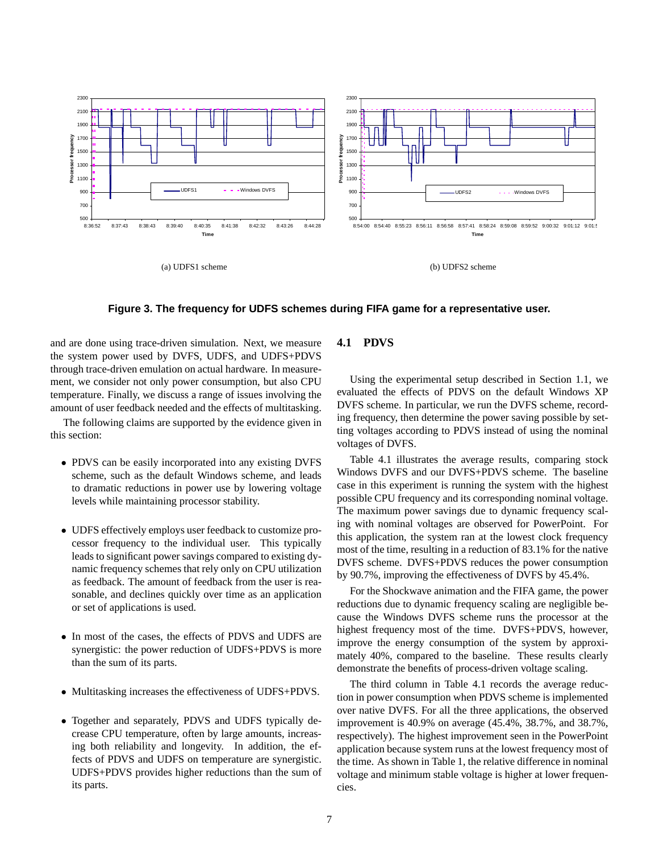

**Figure 3. The frequency for UDFS schemes during FIFA game for a representative user.**

and are done using trace-driven simulation. Next, we measure the system power used by DVFS, UDFS, and UDFS+PDVS through trace-driven emulation on actual hardware. In measurement, we consider not only power consumption, but also CPU temperature. Finally, we discuss a range of issues involving the amount of user feedback needed and the effects of multitasking.

The following claims are supported by the evidence given in this section:

- PDVS can be easily incorporated into any existing DVFS scheme, such as the default Windows scheme, and leads to dramatic reductions in power use by lowering voltage levels while maintaining processor stability.
- UDFS effectively employs user feedback to customize processor frequency to the individual user. This typically leads to significant power savings compared to existing dynamic frequency schemes that rely only on CPU utilization as feedback. The amount of feedback from the user is reasonable, and declines quickly over time as an application or set of applications is used.
- In most of the cases, the effects of PDVS and UDFS are synergistic: the power reduction of UDFS+PDVS is more than the sum of its parts.
- Multitasking increases the effectiveness of UDFS+PDVS.
- Together and separately, PDVS and UDFS typically decrease CPU temperature, often by large amounts, increasing both reliability and longevity. In addition, the effects of PDVS and UDFS on temperature are synergistic. UDFS+PDVS provides higher reductions than the sum of its parts.

## **4.1 PDVS**

Using the experimental setup described in Section 1.1, we evaluated the effects of PDVS on the default Windows XP DVFS scheme. In particular, we run the DVFS scheme, recording frequency, then determine the power saving possible by setting voltages according to PDVS instead of using the nominal voltages of DVFS.

Table 4.1 illustrates the average results, comparing stock Windows DVFS and our DVFS+PDVS scheme. The baseline case in this experiment is running the system with the highest possible CPU frequency and its corresponding nominal voltage. The maximum power savings due to dynamic frequency scaling with nominal voltages are observed for PowerPoint. For this application, the system ran at the lowest clock frequency most of the time, resulting in a reduction of 83.1% for the native DVFS scheme. DVFS+PDVS reduces the power consumption by 90.7%, improving the effectiveness of DVFS by 45.4%.

For the Shockwave animation and the FIFA game, the power reductions due to dynamic frequency scaling are negligible because the Windows DVFS scheme runs the processor at the highest frequency most of the time. DVFS+PDVS, however, improve the energy consumption of the system by approximately 40%, compared to the baseline. These results clearly demonstrate the benefits of process-driven voltage scaling.

The third column in Table 4.1 records the average reduction in power consumption when PDVS scheme is implemented over native DVFS. For all the three applications, the observed improvement is 40.9% on average (45.4%, 38.7%, and 38.7%, respectively). The highest improvement seen in the PowerPoint application because system runs at the lowest frequency most of the time. As shown in Table 1, the relative difference in nominal voltage and minimum stable voltage is higher at lower frequencies.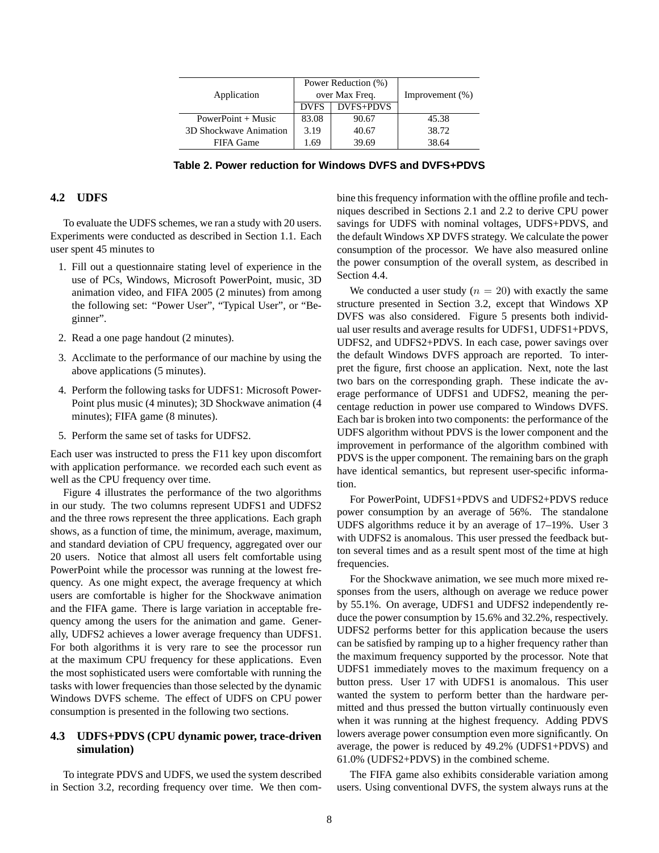|                        |             | Power Reduction (%) | Improvement $(\%)$ |  |
|------------------------|-------------|---------------------|--------------------|--|
| Application            |             | over Max Freq.      |                    |  |
|                        | <b>DVFS</b> | DVFS+PDVS           |                    |  |
| PowerPoint $+$ Music   | 83.08       | 90.67               | 45.38              |  |
| 3D Shockwave Animation | 3.19        | 40.67               | 38.72              |  |
| FIFA Game              | 1.69        | 39.69               | 38.64              |  |

**Table 2. Power reduction for Windows DVFS and DVFS+PDVS**

## **4.2 UDFS**

To evaluate the UDFS schemes, we ran a study with 20 users. Experiments were conducted as described in Section 1.1. Each user spent 45 minutes to

- 1. Fill out a questionnaire stating level of experience in the use of PCs, Windows, Microsoft PowerPoint, music, 3D animation video, and FIFA 2005 (2 minutes) from among the following set: "Power User", "Typical User", or "Beginner".
- 2. Read a one page handout (2 minutes).
- 3. Acclimate to the performance of our machine by using the above applications (5 minutes).
- 4. Perform the following tasks for UDFS1: Microsoft Power-Point plus music (4 minutes); 3D Shockwave animation (4 minutes); FIFA game (8 minutes).
- 5. Perform the same set of tasks for UDFS2.

Each user was instructed to press the F11 key upon discomfort with application performance. we recorded each such event as well as the CPU frequency over time.

Figure 4 illustrates the performance of the two algorithms in our study. The two columns represent UDFS1 and UDFS2 and the three rows represent the three applications. Each graph shows, as a function of time, the minimum, average, maximum, and standard deviation of CPU frequency, aggregated over our 20 users. Notice that almost all users felt comfortable using PowerPoint while the processor was running at the lowest frequency. As one might expect, the average frequency at which users are comfortable is higher for the Shockwave animation and the FIFA game. There is large variation in acceptable frequency among the users for the animation and game. Generally, UDFS2 achieves a lower average frequency than UDFS1. For both algorithms it is very rare to see the processor run at the maximum CPU frequency for these applications. Even the most sophisticated users were comfortable with running the tasks with lower frequencies than those selected by the dynamic Windows DVFS scheme. The effect of UDFS on CPU power consumption is presented in the following two sections.

## **4.3 UDFS+PDVS (CPU dynamic power, trace-driven simulation)**

To integrate PDVS and UDFS, we used the system described in Section 3.2, recording frequency over time. We then combine this frequency information with the offline profile and techniques described in Sections 2.1 and 2.2 to derive CPU power savings for UDFS with nominal voltages, UDFS+PDVS, and the default Windows XP DVFS strategy. We calculate the power consumption of the processor. We have also measured online the power consumption of the overall system, as described in Section 4.4.

We conducted a user study  $(n = 20)$  with exactly the same structure presented in Section 3.2, except that Windows XP DVFS was also considered. Figure 5 presents both individual user results and average results for UDFS1, UDFS1+PDVS, UDFS2, and UDFS2+PDVS. In each case, power savings over the default Windows DVFS approach are reported. To interpret the figure, first choose an application. Next, note the last two bars on the corresponding graph. These indicate the average performance of UDFS1 and UDFS2, meaning the percentage reduction in power use compared to Windows DVFS. Each bar is broken into two components: the performance of the UDFS algorithm without PDVS is the lower component and the improvement in performance of the algorithm combined with PDVS is the upper component. The remaining bars on the graph have identical semantics, but represent user-specific information.

For PowerPoint, UDFS1+PDVS and UDFS2+PDVS reduce power consumption by an average of 56%. The standalone UDFS algorithms reduce it by an average of 17–19%. User 3 with UDFS2 is anomalous. This user pressed the feedback button several times and as a result spent most of the time at high frequencies.

For the Shockwave animation, we see much more mixed responses from the users, although on average we reduce power by 55.1%. On average, UDFS1 and UDFS2 independently reduce the power consumption by 15.6% and 32.2%, respectively. UDFS2 performs better for this application because the users can be satisfied by ramping up to a higher frequency rather than the maximum frequency supported by the processor. Note that UDFS1 immediately moves to the maximum frequency on a button press. User 17 with UDFS1 is anomalous. This user wanted the system to perform better than the hardware permitted and thus pressed the button virtually continuously even when it was running at the highest frequency. Adding PDVS lowers average power consumption even more significantly. On average, the power is reduced by 49.2% (UDFS1+PDVS) and 61.0% (UDFS2+PDVS) in the combined scheme.

The FIFA game also exhibits considerable variation among users. Using conventional DVFS, the system always runs at the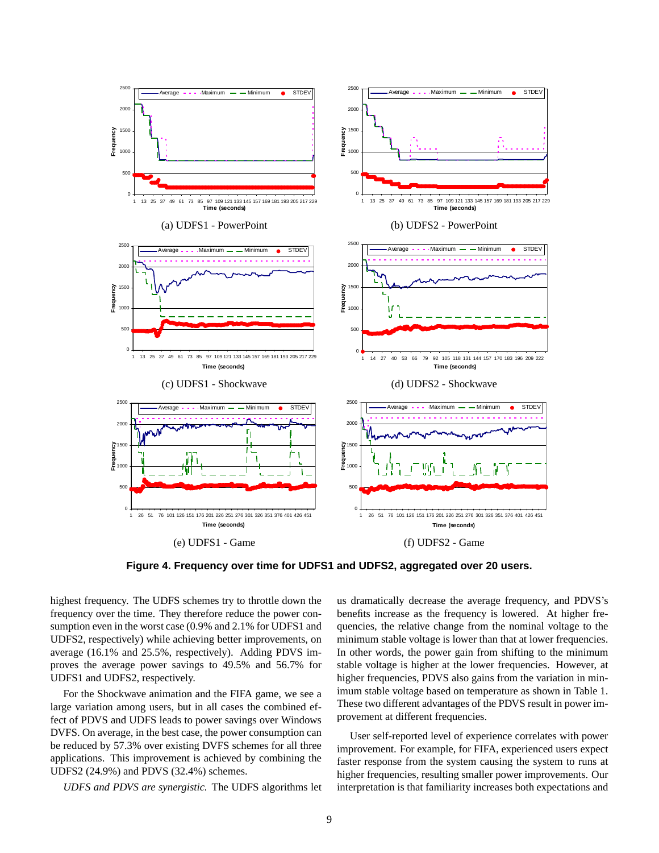

**Figure 4. Frequency over time for UDFS1 and UDFS2, aggregated over 20 users.**

highest frequency. The UDFS schemes try to throttle down the frequency over the time. They therefore reduce the power consumption even in the worst case (0.9% and 2.1% for UDFS1 and UDFS2, respectively) while achieving better improvements, on average (16.1% and 25.5%, respectively). Adding PDVS improves the average power savings to 49.5% and 56.7% for UDFS1 and UDFS2, respectively.

For the Shockwave animation and the FIFA game, we see a large variation among users, but in all cases the combined effect of PDVS and UDFS leads to power savings over Windows DVFS. On average, in the best case, the power consumption can be reduced by 57.3% over existing DVFS schemes for all three applications. This improvement is achieved by combining the UDFS2 (24.9%) and PDVS (32.4%) schemes.

*UDFS and PDVS are synergistic.* The UDFS algorithms let

us dramatically decrease the average frequency, and PDVS's benefits increase as the frequency is lowered. At higher frequencies, the relative change from the nominal voltage to the minimum stable voltage is lower than that at lower frequencies. In other words, the power gain from shifting to the minimum stable voltage is higher at the lower frequencies. However, at higher frequencies, PDVS also gains from the variation in minimum stable voltage based on temperature as shown in Table 1. These two different advantages of the PDVS result in power improvement at different frequencies.

User self-reported level of experience correlates with power improvement. For example, for FIFA, experienced users expect faster response from the system causing the system to runs at higher frequencies, resulting smaller power improvements. Our interpretation is that familiarity increases both expectations and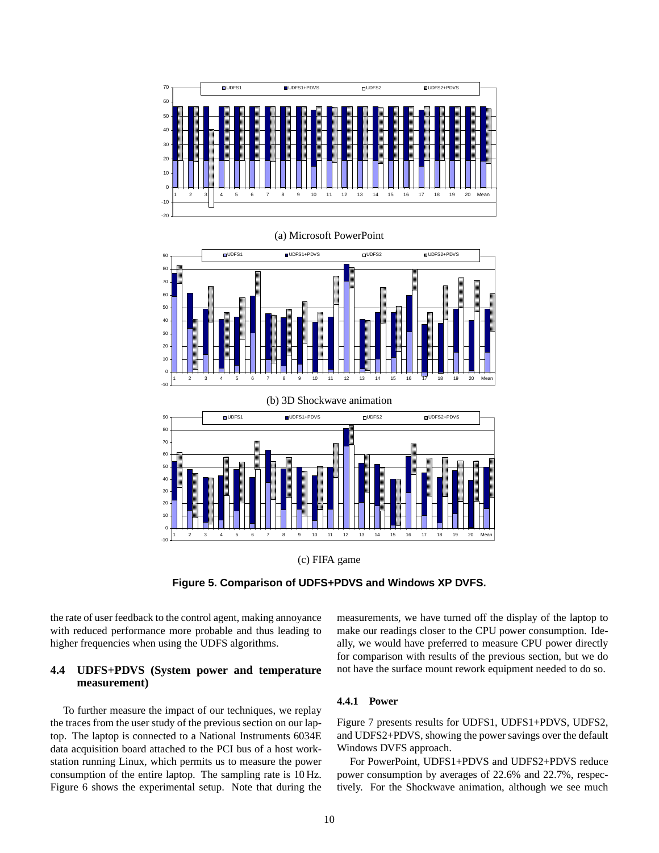



**Figure 5. Comparison of UDFS+PDVS and Windows XP DVFS.**

the rate of user feedback to the control agent, making annoyance with reduced performance more probable and thus leading to higher frequencies when using the UDFS algorithms.

## **4.4 UDFS+PDVS (System power and temperature measurement)**

To further measure the impact of our techniques, we replay the traces from the user study of the previous section on our laptop. The laptop is connected to a National Instruments 6034E data acquisition board attached to the PCI bus of a host workstation running Linux, which permits us to measure the power consumption of the entire laptop. The sampling rate is 10 Hz. Figure 6 shows the experimental setup. Note that during the measurements, we have turned off the display of the laptop to make our readings closer to the CPU power consumption. Ideally, we would have preferred to measure CPU power directly for comparison with results of the previous section, but we do not have the surface mount rework equipment needed to do so.

## **4.4.1 Power**

Figure 7 presents results for UDFS1, UDFS1+PDVS, UDFS2, and UDFS2+PDVS, showing the power savings over the default Windows DVFS approach.

For PowerPoint, UDFS1+PDVS and UDFS2+PDVS reduce power consumption by averages of 22.6% and 22.7%, respectively. For the Shockwave animation, although we see much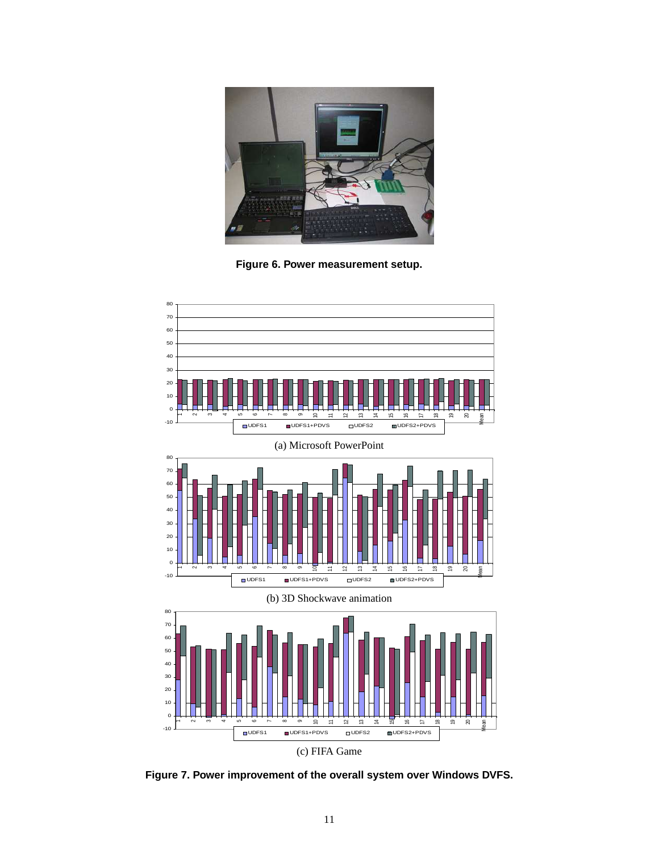

**Figure 6. Power measurement setup.**



**Figure 7. Power improvement of the overall system over Windows DVFS.**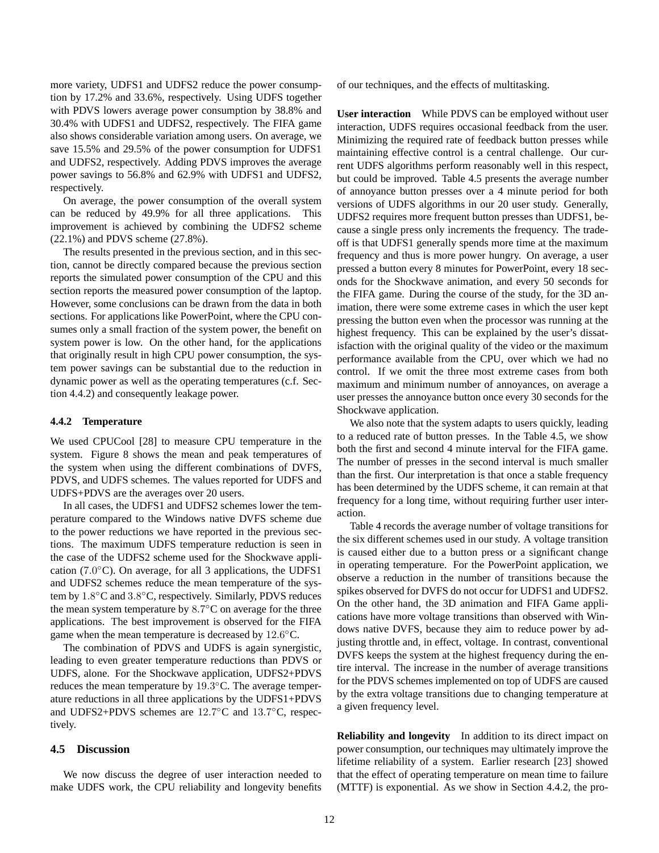more variety, UDFS1 and UDFS2 reduce the power consumption by 17.2% and 33.6%, respectively. Using UDFS together with PDVS lowers average power consumption by 38.8% and 30.4% with UDFS1 and UDFS2, respectively. The FIFA game also shows considerable variation among users. On average, we save 15.5% and 29.5% of the power consumption for UDFS1 and UDFS2, respectively. Adding PDVS improves the average power savings to 56.8% and 62.9% with UDFS1 and UDFS2, respectively.

On average, the power consumption of the overall system can be reduced by 49.9% for all three applications. This improvement is achieved by combining the UDFS2 scheme (22.1%) and PDVS scheme (27.8%).

The results presented in the previous section, and in this section, cannot be directly compared because the previous section reports the simulated power consumption of the CPU and this section reports the measured power consumption of the laptop. However, some conclusions can be drawn from the data in both sections. For applications like PowerPoint, where the CPU consumes only a small fraction of the system power, the benefit on system power is low. On the other hand, for the applications that originally result in high CPU power consumption, the system power savings can be substantial due to the reduction in dynamic power as well as the operating temperatures (c.f. Section 4.4.2) and consequently leakage power.

#### **4.4.2 Temperature**

We used CPUCool [28] to measure CPU temperature in the system. Figure 8 shows the mean and peak temperatures of the system when using the different combinations of DVFS, PDVS, and UDFS schemes. The values reported for UDFS and UDFS+PDVS are the averages over 20 users.

In all cases, the UDFS1 and UDFS2 schemes lower the temperature compared to the Windows native DVFS scheme due to the power reductions we have reported in the previous sections. The maximum UDFS temperature reduction is seen in the case of the UDFS2 scheme used for the Shockwave application (7.0°C). On average, for all 3 applications, the UDFS1 and UDFS2 schemes reduce the mean temperature of the system by 1.8°C and 3.8°C, respectively. Similarly, PDVS reduces the mean system temperature by  $8.7^{\circ}$ C on average for the three applications. The best improvement is observed for the FIFA game when the mean temperature is decreased by  $12.6^{\circ}$ C.

The combination of PDVS and UDFS is again synergistic, leading to even greater temperature reductions than PDVS or UDFS, alone. For the Shockwave application, UDFS2+PDVS reduces the mean temperature by 19.3°C. The average temperature reductions in all three applications by the UDFS1+PDVS and UDFS2+PDVS schemes are 12.7°C and 13.7°C, respectively.

#### **4.5 Discussion**

We now discuss the degree of user interaction needed to make UDFS work, the CPU reliability and longevity benefits of our techniques, and the effects of multitasking.

**User interaction** While PDVS can be employed without user interaction, UDFS requires occasional feedback from the user. Minimizing the required rate of feedback button presses while maintaining effective control is a central challenge. Our current UDFS algorithms perform reasonably well in this respect, but could be improved. Table 4.5 presents the average number of annoyance button presses over a 4 minute period for both versions of UDFS algorithms in our 20 user study. Generally, UDFS2 requires more frequent button presses than UDFS1, because a single press only increments the frequency. The tradeoff is that UDFS1 generally spends more time at the maximum frequency and thus is more power hungry. On average, a user pressed a button every 8 minutes for PowerPoint, every 18 seconds for the Shockwave animation, and every 50 seconds for the FIFA game. During the course of the study, for the 3D animation, there were some extreme cases in which the user kept pressing the button even when the processor was running at the highest frequency. This can be explained by the user's dissatisfaction with the original quality of the video or the maximum performance available from the CPU, over which we had no control. If we omit the three most extreme cases from both maximum and minimum number of annoyances, on average a user presses the annoyance button once every 30 seconds for the Shockwave application.

We also note that the system adapts to users quickly, leading to a reduced rate of button presses. In the Table 4.5, we show both the first and second 4 minute interval for the FIFA game. The number of presses in the second interval is much smaller than the first. Our interpretation is that once a stable frequency has been determined by the UDFS scheme, it can remain at that frequency for a long time, without requiring further user interaction.

Table 4 records the average number of voltage transitions for the six different schemes used in our study. A voltage transition is caused either due to a button press or a significant change in operating temperature. For the PowerPoint application, we observe a reduction in the number of transitions because the spikes observed for DVFS do not occur for UDFS1 and UDFS2. On the other hand, the 3D animation and FIFA Game applications have more voltage transitions than observed with Windows native DVFS, because they aim to reduce power by adjusting throttle and, in effect, voltage. In contrast, conventional DVFS keeps the system at the highest frequency during the entire interval. The increase in the number of average transitions for the PDVS schemes implemented on top of UDFS are caused by the extra voltage transitions due to changing temperature at a given frequency level.

**Reliability and longevity** In addition to its direct impact on power consumption, our techniques may ultimately improve the lifetime reliability of a system. Earlier research [23] showed that the effect of operating temperature on mean time to failure (MTTF) is exponential. As we show in Section 4.4.2, the pro-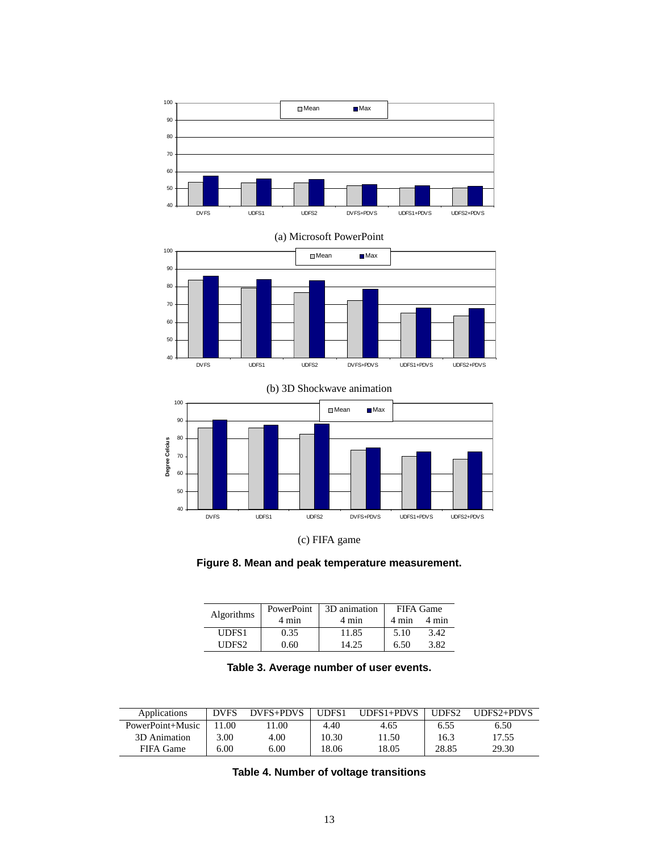

(a) Microsoft PowerPoint







**Figure 8. Mean and peak temperature measurement.**

| <b>Algorithms</b> | PowerPoint | 3D animation | <b>FIFA Game</b> |       |  |
|-------------------|------------|--------------|------------------|-------|--|
|                   | 4 min      | 4 min        | 4 min            | 4 min |  |
| UDFS1             | 0.35       | 11.85        | 5.10             | 3.42  |  |
| UDES <sub>2</sub> | 0.60       | 14.25        | 6.50             | 3.82  |  |

| Table 3. Average number of user events. |  |  |  |  |
|-----------------------------------------|--|--|--|--|
|-----------------------------------------|--|--|--|--|

| Applications     | <b>DVFS</b> | DVFS+PDVS | UDFS1 | $UDFS1+PDVS$ | UDFS <sub>2</sub> | $IDFS2 + PDVS$ |
|------------------|-------------|-----------|-------|--------------|-------------------|----------------|
| PowerPoint+Music | .00         | 1.00      | 4.40  | 4.65         | 6.55              | 6.50           |
| 3D Animation     | $3.00 -$    | 4.00      | 10.30 | 1.50         | 16.3              | 17.55          |
| FIFA Game        | 6.00        | 6.00      | 18.06 | 18.05        | 28.85             | 29.30          |

**Table 4. Number of voltage transitions**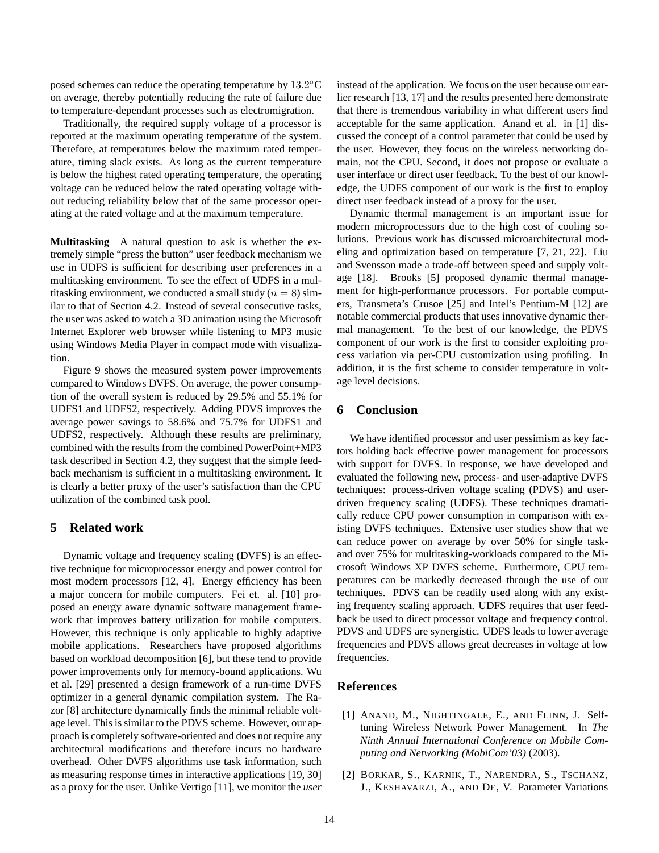posed schemes can reduce the operating temperature by  $13.2^{\circ}$ C on average, thereby potentially reducing the rate of failure due to temperature-dependant processes such as electromigration.

Traditionally, the required supply voltage of a processor is reported at the maximum operating temperature of the system. Therefore, at temperatures below the maximum rated temperature, timing slack exists. As long as the current temperature is below the highest rated operating temperature, the operating voltage can be reduced below the rated operating voltage without reducing reliability below that of the same processor operating at the rated voltage and at the maximum temperature.

**Multitasking** A natural question to ask is whether the extremely simple "press the button" user feedback mechanism we use in UDFS is sufficient for describing user preferences in a multitasking environment. To see the effect of UDFS in a multitasking environment, we conducted a small study ( $n = 8$ ) similar to that of Section 4.2. Instead of several consecutive tasks, the user was asked to watch a 3D animation using the Microsoft Internet Explorer web browser while listening to MP3 music using Windows Media Player in compact mode with visualization.

Figure 9 shows the measured system power improvements compared to Windows DVFS. On average, the power consumption of the overall system is reduced by 29.5% and 55.1% for UDFS1 and UDFS2, respectively. Adding PDVS improves the average power savings to 58.6% and 75.7% for UDFS1 and UDFS2, respectively. Although these results are preliminary, combined with the results from the combined PowerPoint+MP3 task described in Section 4.2, they suggest that the simple feedback mechanism is sufficient in a multitasking environment. It is clearly a better proxy of the user's satisfaction than the CPU utilization of the combined task pool.

## **5 Related work**

Dynamic voltage and frequency scaling (DVFS) is an effective technique for microprocessor energy and power control for most modern processors [12, 4]. Energy efficiency has been a major concern for mobile computers. Fei et. al. [10] proposed an energy aware dynamic software management framework that improves battery utilization for mobile computers. However, this technique is only applicable to highly adaptive mobile applications. Researchers have proposed algorithms based on workload decomposition [6], but these tend to provide power improvements only for memory-bound applications. Wu et al. [29] presented a design framework of a run-time DVFS optimizer in a general dynamic compilation system. The Razor [8] architecture dynamically finds the minimal reliable voltage level. This is similar to the PDVS scheme. However, our approach is completely software-oriented and does not require any architectural modifications and therefore incurs no hardware overhead. Other DVFS algorithms use task information, such as measuring response times in interactive applications [19, 30] as a proxy for the user. Unlike Vertigo [11], we monitor the *user* instead of the application. We focus on the user because our earlier research [13, 17] and the results presented here demonstrate that there is tremendous variability in what different users find acceptable for the same application. Anand et al. in [1] discussed the concept of a control parameter that could be used by the user. However, they focus on the wireless networking domain, not the CPU. Second, it does not propose or evaluate a user interface or direct user feedback. To the best of our knowledge, the UDFS component of our work is the first to employ direct user feedback instead of a proxy for the user.

Dynamic thermal management is an important issue for modern microprocessors due to the high cost of cooling solutions. Previous work has discussed microarchitectural modeling and optimization based on temperature [7, 21, 22]. Liu and Svensson made a trade-off between speed and supply voltage [18]. Brooks [5] proposed dynamic thermal management for high-performance processors. For portable computers, Transmeta's Crusoe [25] and Intel's Pentium-M [12] are notable commercial products that uses innovative dynamic thermal management. To the best of our knowledge, the PDVS component of our work is the first to consider exploiting process variation via per-CPU customization using profiling. In addition, it is the first scheme to consider temperature in voltage level decisions.

## **6 Conclusion**

We have identified processor and user pessimism as key factors holding back effective power management for processors with support for DVFS. In response, we have developed and evaluated the following new, process- and user-adaptive DVFS techniques: process-driven voltage scaling (PDVS) and userdriven frequency scaling (UDFS). These techniques dramatically reduce CPU power consumption in comparison with existing DVFS techniques. Extensive user studies show that we can reduce power on average by over 50% for single taskand over 75% for multitasking-workloads compared to the Microsoft Windows XP DVFS scheme. Furthermore, CPU temperatures can be markedly decreased through the use of our techniques. PDVS can be readily used along with any existing frequency scaling approach. UDFS requires that user feedback be used to direct processor voltage and frequency control. PDVS and UDFS are synergistic. UDFS leads to lower average frequencies and PDVS allows great decreases in voltage at low frequencies.

## **References**

- [1] ANAND, M., NIGHTINGALE, E., AND FLINN, J. Selftuning Wireless Network Power Management. In *The Ninth Annual International Conference on Mobile Computing and Networking (MobiCom'03)* (2003).
- [2] BORKAR, S., KARNIK, T., NARENDRA, S., TSCHANZ, J., KESHAVARZI, A., AND DE, V. Parameter Variations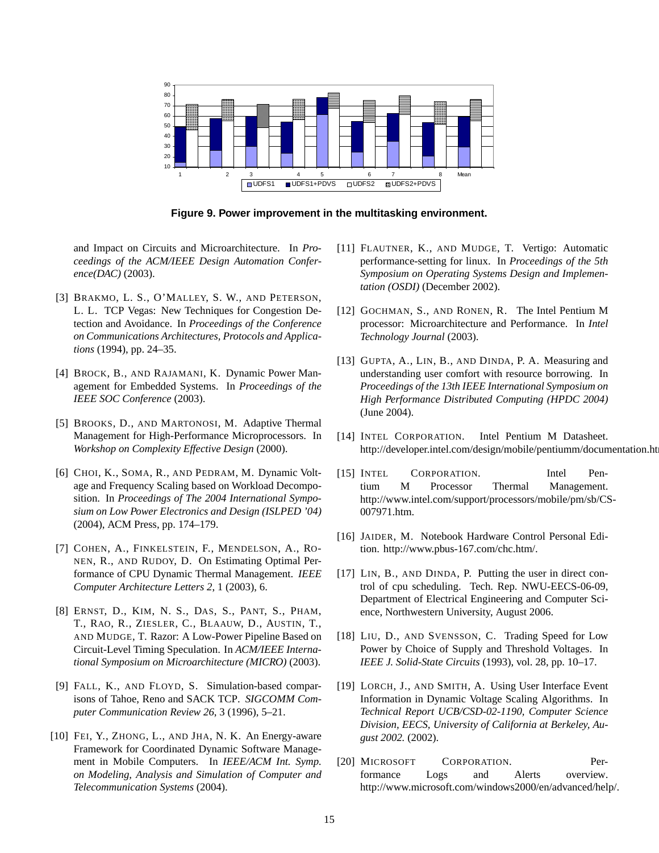

**Figure 9. Power improvement in the multitasking environment.**

and Impact on Circuits and Microarchitecture. In *Proceedings of the ACM/IEEE Design Automation Conference(DAC)* (2003).

- [3] BRAKMO, L. S., O'MALLEY, S. W., AND PETERSON, L. L. TCP Vegas: New Techniques for Congestion Detection and Avoidance. In *Proceedings of the Conference on Communications Architectures, Protocols and Applications* (1994), pp. 24–35.
- [4] BROCK, B., AND RAJAMANI, K. Dynamic Power Management for Embedded Systems. In *Proceedings of the IEEE SOC Conference* (2003).
- [5] BROOKS, D., AND MARTONOSI, M. Adaptive Thermal Management for High-Performance Microprocessors. In *Workshop on Complexity Effective Design* (2000).
- [6] CHOI, K., SOMA, R., AND PEDRAM, M. Dynamic Voltage and Frequency Scaling based on Workload Decomposition. In *Proceedings of The 2004 International Symposium on Low Power Electronics and Design (ISLPED '04)* (2004), ACM Press, pp. 174–179.
- [7] COHEN, A., FINKELSTEIN, F., MENDELSON, A., RO-NEN, R., AND RUDOY, D. On Estimating Optimal Performance of CPU Dynamic Thermal Management. *IEEE Computer Architecture Letters 2*, 1 (2003), 6.
- [8] ERNST, D., KIM, N. S., DAS, S., PANT, S., PHAM, T., RAO, R., ZIESLER, C., BLAAUW, D., AUSTIN, T., AND MUDGE, T. Razor: A Low-Power Pipeline Based on Circuit-Level Timing Speculation. In *ACM/IEEE International Symposium on Microarchitecture (MICRO)* (2003).
- [9] FALL, K., AND FLOYD, S. Simulation-based comparisons of Tahoe, Reno and SACK TCP. *SIGCOMM Computer Communication Review 26*, 3 (1996), 5–21.
- [10] FEI, Y., ZHONG, L., AND JHA, N. K. An Energy-aware Framework for Coordinated Dynamic Software Management in Mobile Computers. In *IEEE/ACM Int. Symp. on Modeling, Analysis and Simulation of Computer and Telecommunication Systems* (2004).
- [11] FLAUTNER, K., AND MUDGE, T. Vertigo: Automatic performance-setting for linux. In *Proceedings of the 5th Symposium on Operating Systems Design and Implementation (OSDI)* (December 2002).
- [12] GOCHMAN, S., AND RONEN, R. The Intel Pentium M processor: Microarchitecture and Performance. In *Intel Technology Journal* (2003).
- [13] GUPTA, A., LIN, B., AND DINDA, P. A. Measuring and understanding user comfort with resource borrowing. In *Proceedings of the 13th IEEE International Symposium on High Performance Distributed Computing (HPDC 2004)* (June 2004).
- [14] INTEL CORPORATION. Intel Pentium M Datasheet. http://developer.intel.com/design/mobile/pentiumm/documentation.ht
- [15] INTEL CORPORATION. Intel Pentium M Processor Thermal Management. http://www.intel.com/support/processors/mobile/pm/sb/CS-007971.htm.
- [16] JAIDER, M. Notebook Hardware Control Personal Edition. http://www.pbus-167.com/chc.htm/.
- [17] LIN, B., AND DINDA, P. Putting the user in direct control of cpu scheduling. Tech. Rep. NWU-EECS-06-09, Department of Electrical Engineering and Computer Science, Northwestern University, August 2006.
- [18] LIU, D., AND SVENSSON, C. Trading Speed for Low Power by Choice of Supply and Threshold Voltages. In *IEEE J. Solid-State Circuits* (1993), vol. 28, pp. 10–17.
- [19] LORCH, J., AND SMITH, A. Using User Interface Event Information in Dynamic Voltage Scaling Algorithms. In *Technical Report UCB/CSD-02-1190, Computer Science Division, EECS, University of California at Berkeley, August 2002.* (2002).
- [20] MICROSOFT CORPORATION. Performance Logs and Alerts overview. http://www.microsoft.com/windows2000/en/advanced/help/.